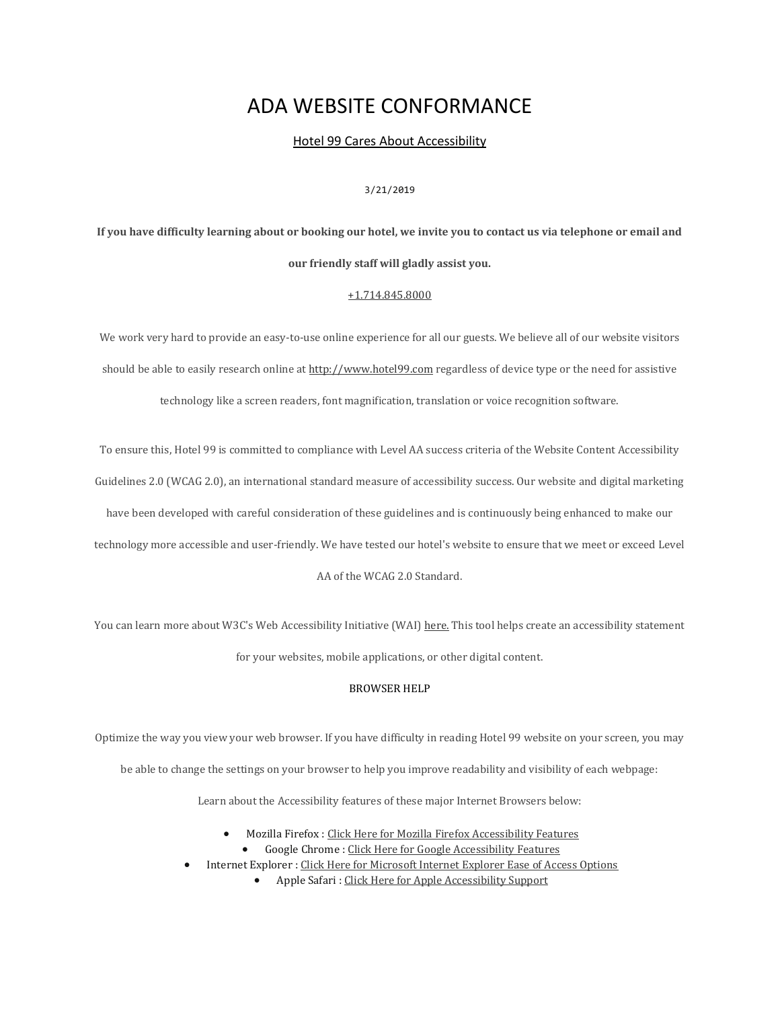# ADA WEBSITE CONFORMANCE

Hotel 99 Cares About Accessibility

# 3/21/2019

# **If you have difficulty learning about or booking our hotel, we invite you to contact us via telephone or email and our friendly staff will gladly assist you.**

### [+1.714.845.8000](tel:17148458000)

We work very hard to provide an easy-to-use online experience for all our guests. We believe all of our website visitors should be able to easily research online at [http://www.hotel99.com](http://www.hotel99.com/) regardless of device type or the need for assistive

technology like a screen readers, font magnification, translation or voice recognition software.

To ensure this, Hotel 99 is committed to compliance with Level AA success criteria of the Website Content Accessibility

Guidelines 2.0 (WCAG 2.0), an international standard measure of accessibility success. Our website and digital marketing

have been developed with careful consideration of these guidelines and is continuously being enhanced to make our

technology more accessible and user-friendly. We have tested our hotel's website to ensure that we meet or exceed Level

AA of the WCAG 2.0 Standard.

You can learn more about W3C's Web Accessibility Initiative (WAI) [here.](https://www.w3.org/WAI/) This tool helps create an accessibility statement for your websites, mobile applications, or other digital content.

#### BROWSER HELP

Optimize the way you view your web browser. If you have difficulty in reading Hotel 99 website on your screen, you may

be able to change the settings on your browser to help you improve readability and visibility of each webpage:

Learn about the Accessibility features of these major Internet Browsers below:

- Mozilla Firefox : [Click Here for Mozilla Firefox Accessibility Features](https://support.mozilla.org/en-US/kb/accessibility-features-firefox-make-firefox-and-we)
	- Google Chrome : [Click Here for Google Accessibility Features](https://www.google.com/accessibility/products-features/)
- Internet Explorer : [Click Here for Microsoft Internet Explorer Ease of Access Options](https://support.microsoft.com/en-us/help/17456/windows-internet-explorer-ease-of-access-options)
	- Apple Safari : [Click Here for Apple Accessibility Support](https://support.apple.com/accessibility)